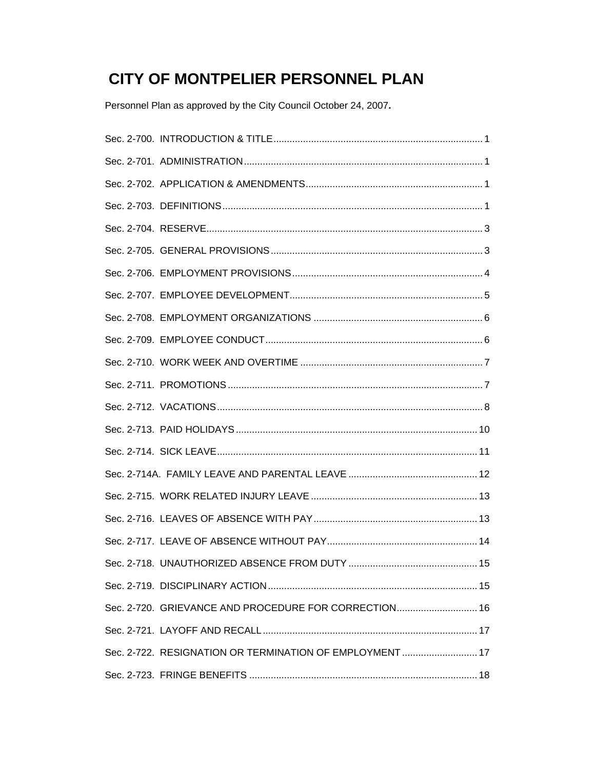Personnel Plan as approved by the City Council October 24, 2007.

| Sec. 2-720. GRIEVANCE AND PROCEDURE FOR CORRECTION 16   |  |
|---------------------------------------------------------|--|
|                                                         |  |
| Sec. 2-722. RESIGNATION OR TERMINATION OF EMPLOYMENT 17 |  |
|                                                         |  |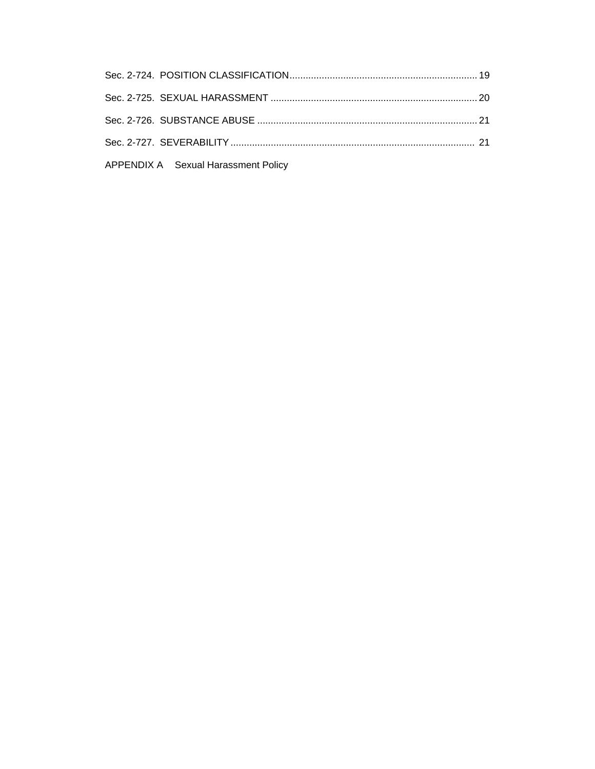APPENDIX A Sexual Harassment Policy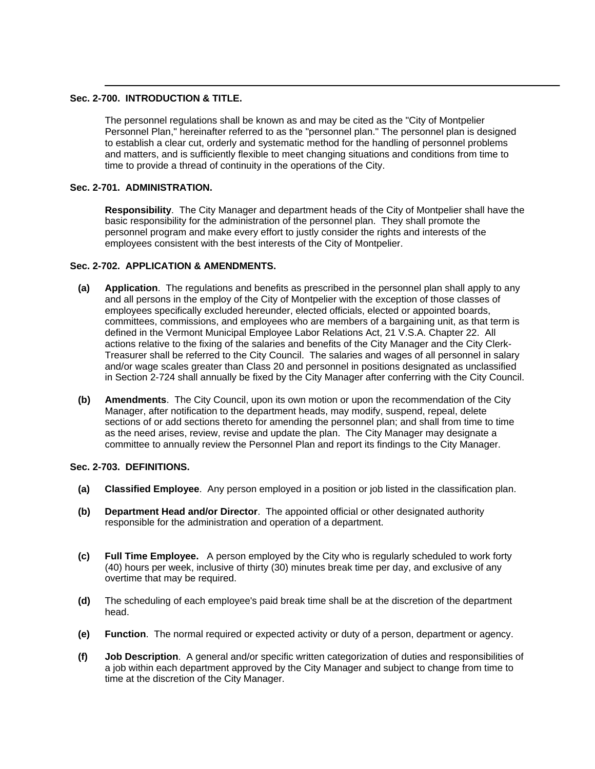### **Sec. 2-700. INTRODUCTION & TITLE.**

The personnel regulations shall be known as and may be cited as the "City of Montpelier Personnel Plan," hereinafter referred to as the "personnel plan." The personnel plan is designed to establish a clear cut, orderly and systematic method for the handling of personnel problems and matters, and is sufficiently flexible to meet changing situations and conditions from time to time to provide a thread of continuity in the operations of the City.

### **Sec. 2-701. ADMINISTRATION.**

**Responsibility**. The City Manager and department heads of the City of Montpelier shall have the basic responsibility for the administration of the personnel plan. They shall promote the personnel program and make every effort to justly consider the rights and interests of the employees consistent with the best interests of the City of Montpelier.

### **Sec. 2-702. APPLICATION & AMENDMENTS.**

- **(a) Application**. The regulations and benefits as prescribed in the personnel plan shall apply to any and all persons in the employ of the City of Montpelier with the exception of those classes of employees specifically excluded hereunder, elected officials, elected or appointed boards, committees, commissions, and employees who are members of a bargaining unit, as that term is defined in the Vermont Municipal Employee Labor Relations Act, 21 V.S.A. Chapter 22. All actions relative to the fixing of the salaries and benefits of the City Manager and the City Clerk-Treasurer shall be referred to the City Council. The salaries and wages of all personnel in salary and/or wage scales greater than Class 20 and personnel in positions designated as unclassified in Section 2-724 shall annually be fixed by the City Manager after conferring with the City Council.
- **(b) Amendments**. The City Council, upon its own motion or upon the recommendation of the City Manager, after notification to the department heads, may modify, suspend, repeal, delete sections of or add sections thereto for amending the personnel plan; and shall from time to time as the need arises, review, revise and update the plan. The City Manager may designate a committee to annually review the Personnel Plan and report its findings to the City Manager.

### **Sec. 2-703. DEFINITIONS.**

- **(a) Classified Employee**. Any person employed in a position or job listed in the classification plan.
- **(b) Department Head and/or Director**. The appointed official or other designated authority responsible for the administration and operation of a department.
- **(c) Full Time Employee.** A person employed by the City who is regularly scheduled to work forty (40) hours per week, inclusive of thirty (30) minutes break time per day, and exclusive of any overtime that may be required.
- **(d)** The scheduling of each employee's paid break time shall be at the discretion of the department head.
- **(e) Function**. The normal required or expected activity or duty of a person, department or agency.
- **(f) Job Description**. A general and/or specific written categorization of duties and responsibilities of a job within each department approved by the City Manager and subject to change from time to time at the discretion of the City Manager.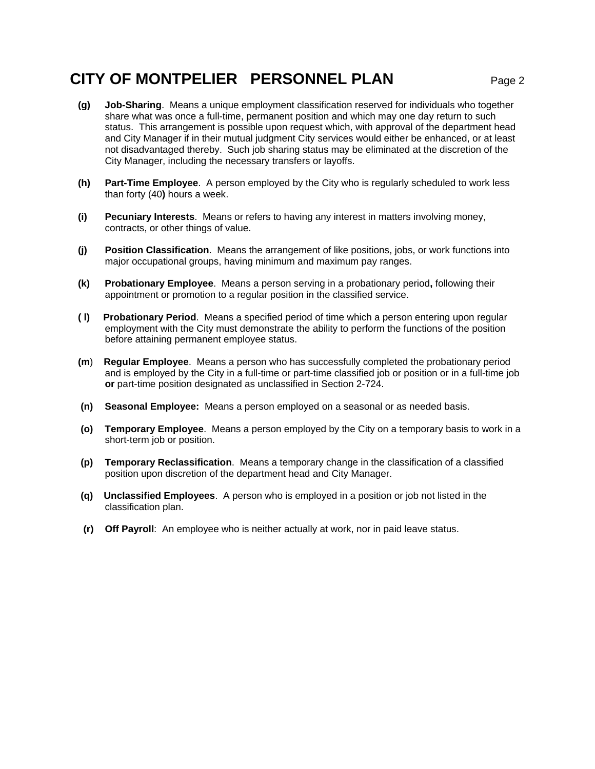- **(g) Job-Sharing**. Means a unique employment classification reserved for individuals who together share what was once a full-time, permanent position and which may one day return to such status. This arrangement is possible upon request which, with approval of the department head and City Manager if in their mutual judgment City services would either be enhanced, or at least not disadvantaged thereby. Such job sharing status may be eliminated at the discretion of the City Manager, including the necessary transfers or layoffs.
- **(h) Part-Time Employee**. A person employed by the City who is regularly scheduled to work less than forty (40**)** hours a week.
- **(i) Pecuniary Interests**. Means or refers to having any interest in matters involving money, contracts, or other things of value.
- **(j) Position Classification**. Means the arrangement of like positions, jobs, or work functions into major occupational groups, having minimum and maximum pay ranges.
- **(k) Probationary Employee**. Means a person serving in a probationary period**,** following their appointment or promotion to a regular position in the classified service.
- **( l) Probationary Period**. Means a specified period of time which a person entering upon regular employment with the City must demonstrate the ability to perform the functions of the position before attaining permanent employee status.
- **(m**) **Regular Employee**. Means a person who has successfully completed the probationary period and is employed by the City in a full-time or part-time classified job or position or in a full-time job **or** part-time position designated as unclassified in Section 2-724.
- **(n) Seasonal Employee:** Means a person employed on a seasonal or as needed basis.
- **(o) Temporary Employee**. Means a person employed by the City on a temporary basis to work in a short-term job or position.
- **(p) Temporary Reclassification**. Means a temporary change in the classification of a classified position upon discretion of the department head and City Manager.
- **(q) Unclassified Employees**. A person who is employed in a position or job not listed in the classification plan.
- **(r) Off Payroll**: An employee who is neither actually at work, nor in paid leave status.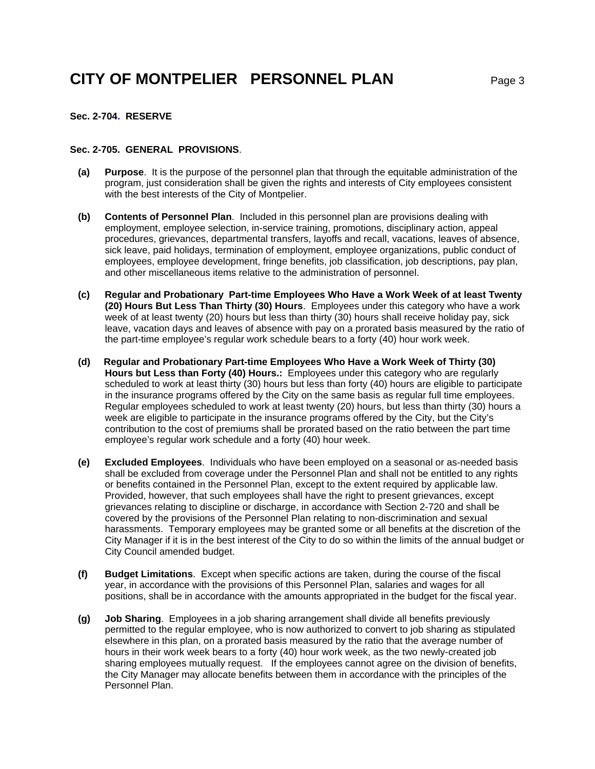### **Sec. 2-704. RESERVE**

### **Sec. 2-705. GENERAL PROVISIONS**.

- **(a) Purpose**. It is the purpose of the personnel plan that through the equitable administration of the program, just consideration shall be given the rights and interests of City employees consistent with the best interests of the City of Montpelier.
- **(b) Contents of Personnel Plan**. Included in this personnel plan are provisions dealing with employment, employee selection, in-service training, promotions, disciplinary action, appeal procedures, grievances, departmental transfers, layoffs and recall, vacations, leaves of absence, sick leave, paid holidays, termination of employment, employee organizations, public conduct of employees, employee development, fringe benefits, job classification, job descriptions, pay plan, and other miscellaneous items relative to the administration of personnel.
- **(c) Regular and Probationary Part-time Employees Who Have a Work Week of at least Twenty (20) Hours But Less Than Thirty (30) Hours**. Employees under this category who have a work week of at least twenty (20) hours but less than thirty (30) hours shall receive holiday pay, sick leave, vacation days and leaves of absence with pay on a prorated basis measured by the ratio of the part-time employee's regular work schedule bears to a forty (40) hour work week.
- **(d) Regular and Probationary Part-time Employees Who Have a Work Week of Thirty (30) Hours but Less than Forty (40) Hours.:** Employees under this category who are regularly scheduled to work at least thirty (30) hours but less than forty (40) hours are eligible to participate in the insurance programs offered by the City on the same basis as regular full time employees. Regular employees scheduled to work at least twenty (20) hours, but less than thirty (30) hours a week are eligible to participate in the insurance programs offered by the City, but the City's contribution to the cost of premiums shall be prorated based on the ratio between the part time employee's regular work schedule and a forty (40) hour week.
- **(e) Excluded Employees**. Individuals who have been employed on a seasonal or as-needed basis shall be excluded from coverage under the Personnel Plan and shall not be entitled to any rights or benefits contained in the Personnel Plan, except to the extent required by applicable law. Provided, however, that such employees shall have the right to present grievances, except grievances relating to discipline or discharge, in accordance with Section 2-720 and shall be covered by the provisions of the Personnel Plan relating to non-discrimination and sexual harassments. Temporary employees may be granted some or all benefits at the discretion of the City Manager if it is in the best interest of the City to do so within the limits of the annual budget or City Council amended budget.
- **(f) Budget Limitations**. Except when specific actions are taken, during the course of the fiscal year, in accordance with the provisions of this Personnel Plan, salaries and wages for all positions, shall be in accordance with the amounts appropriated in the budget for the fiscal year.
- **(g) Job Sharing**. Employees in a job sharing arrangement shall divide all benefits previously permitted to the regular employee, who is now authorized to convert to job sharing as stipulated elsewhere in this plan, on a prorated basis measured by the ratio that the average number of hours in their work week bears to a forty (40) hour work week, as the two newly-created job sharing employees mutually request. If the employees cannot agree on the division of benefits, the City Manager may allocate benefits between them in accordance with the principles of the Personnel Plan.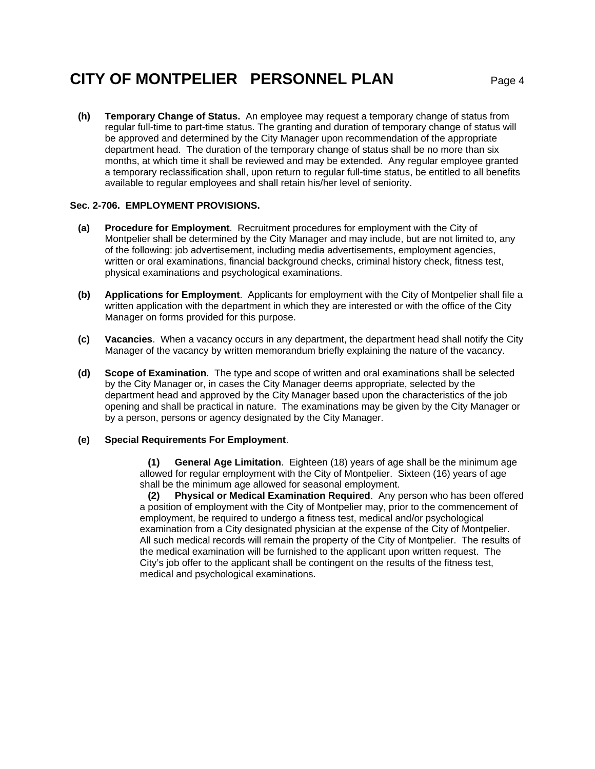**(h) Temporary Change of Status.** An employee may request a temporary change of status from regular full-time to part-time status. The granting and duration of temporary change of status will be approved and determined by the City Manager upon recommendation of the appropriate department head. The duration of the temporary change of status shall be no more than six months, at which time it shall be reviewed and may be extended. Any regular employee granted a temporary reclassification shall, upon return to regular full-time status, be entitled to all benefits available to regular employees and shall retain his/her level of seniority.

### **Sec. 2-706. EMPLOYMENT PROVISIONS.**

- **(a) Procedure for Employment**. Recruitment procedures for employment with the City of Montpelier shall be determined by the City Manager and may include, but are not limited to, any of the following: job advertisement, including media advertisements, employment agencies, written or oral examinations, financial background checks, criminal history check, fitness test, physical examinations and psychological examinations.
- **(b) Applications for Employment**. Applicants for employment with the City of Montpelier shall file a written application with the department in which they are interested or with the office of the City Manager on forms provided for this purpose.
- **(c) Vacancies**. When a vacancy occurs in any department, the department head shall notify the City Manager of the vacancy by written memorandum briefly explaining the nature of the vacancy.
- **(d) Scope of Examination**. The type and scope of written and oral examinations shall be selected by the City Manager or, in cases the City Manager deems appropriate, selected by the department head and approved by the City Manager based upon the characteristics of the job opening and shall be practical in nature. The examinations may be given by the City Manager or by a person, persons or agency designated by the City Manager.

## **(e) Special Requirements For Employment**.

 **(1) General Age Limitation**. Eighteen (18) years of age shall be the minimum age allowed for regular employment with the City of Montpelier. Sixteen (16) years of age shall be the minimum age allowed for seasonal employment.

 **(2) Physical or Medical Examination Required**. Any person who has been offered a position of employment with the City of Montpelier may, prior to the commencement of employment, be required to undergo a fitness test, medical and/or psychological examination from a City designated physician at the expense of the City of Montpelier. All such medical records will remain the property of the City of Montpelier. The results of the medical examination will be furnished to the applicant upon written request. The City's job offer to the applicant shall be contingent on the results of the fitness test, medical and psychological examinations.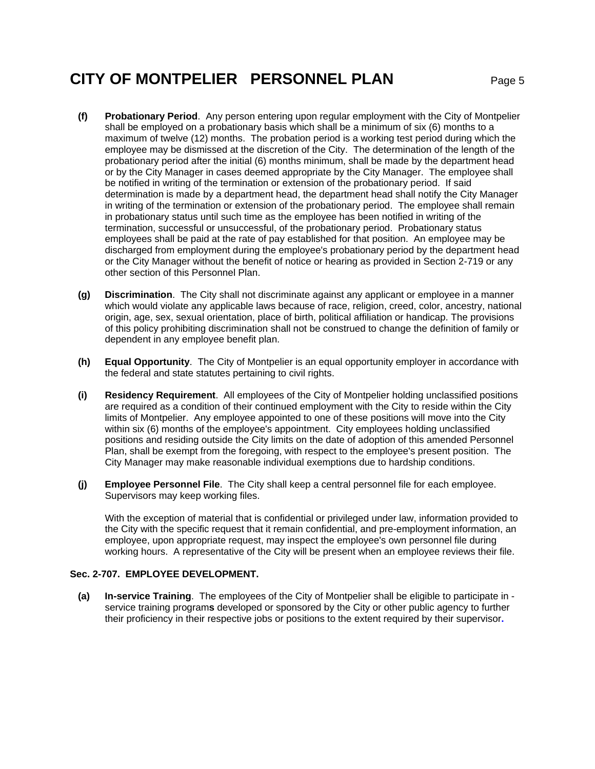- **(f) Probationary Period**. Any person entering upon regular employment with the City of Montpelier shall be employed on a probationary basis which shall be a minimum of six (6) months to a maximum of twelve (12) months. The probation period is a working test period during which the employee may be dismissed at the discretion of the City. The determination of the length of the probationary period after the initial (6) months minimum, shall be made by the department head or by the City Manager in cases deemed appropriate by the City Manager. The employee shall be notified in writing of the termination or extension of the probationary period. If said determination is made by a department head, the department head shall notify the City Manager in writing of the termination or extension of the probationary period. The employee shall remain in probationary status until such time as the employee has been notified in writing of the termination, successful or unsuccessful, of the probationary period. Probationary status employees shall be paid at the rate of pay established for that position. An employee may be discharged from employment during the employee's probationary period by the department head or the City Manager without the benefit of notice or hearing as provided in Section 2-719 or any other section of this Personnel Plan.
- **(g) Discrimination**. The City shall not discriminate against any applicant or employee in a manner which would violate any applicable laws because of race, religion, creed, color, ancestry, national origin, age, sex, sexual orientation, place of birth, political affiliation or handicap. The provisions of this policy prohibiting discrimination shall not be construed to change the definition of family or dependent in any employee benefit plan.
- **(h) Equal Opportunity**. The City of Montpelier is an equal opportunity employer in accordance with the federal and state statutes pertaining to civil rights.
- **(i) Residency Requirement**. All employees of the City of Montpelier holding unclassified positions are required as a condition of their continued employment with the City to reside within the City limits of Montpelier. Any employee appointed to one of these positions will move into the City within six (6) months of the employee's appointment. City employees holding unclassified positions and residing outside the City limits on the date of adoption of this amended Personnel Plan, shall be exempt from the foregoing, with respect to the employee's present position. The City Manager may make reasonable individual exemptions due to hardship conditions.
- **(j) Employee Personnel File**. The City shall keep a central personnel file for each employee. Supervisors may keep working files.

With the exception of material that is confidential or privileged under law, information provided to the City with the specific request that it remain confidential, and pre-employment information, an employee, upon appropriate request, may inspect the employee's own personnel file during working hours. A representative of the City will be present when an employee reviews their file.

## **Sec. 2-707. EMPLOYEE DEVELOPMENT.**

 **(a) In-service Training**. The employees of the City of Montpelier shall be eligible to participate in service training program**s** developed or sponsored by the City or other public agency to further their proficiency in their respective jobs or positions to the extent required by their supervisor**.**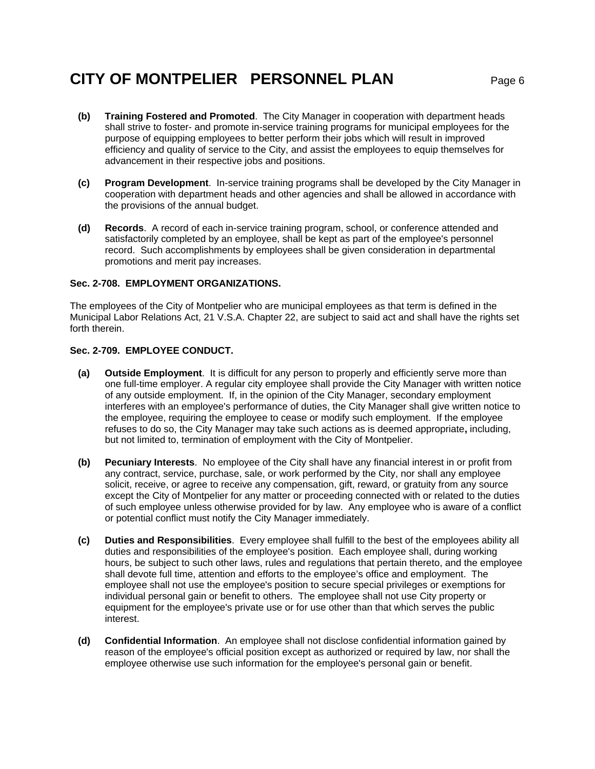- **(b) Training Fostered and Promoted**. The City Manager in cooperation with department heads shall strive to foster- and promote in-service training programs for municipal employees for the purpose of equipping employees to better perform their jobs which will result in improved efficiency and quality of service to the City, and assist the employees to equip themselves for advancement in their respective jobs and positions.
- **(c) Program Development**. In-service training programs shall be developed by the City Manager in cooperation with department heads and other agencies and shall be allowed in accordance with the provisions of the annual budget.
- **(d) Records**. A record of each in-service training program, school, or conference attended and satisfactorily completed by an employee, shall be kept as part of the employee's personnel record. Such accomplishments by employees shall be given consideration in departmental promotions and merit pay increases.

### **Sec. 2-708. EMPLOYMENT ORGANIZATIONS.**

The employees of the City of Montpelier who are municipal employees as that term is defined in the Municipal Labor Relations Act, 21 V.S.A. Chapter 22, are subject to said act and shall have the rights set forth therein.

### **Sec. 2-709. EMPLOYEE CONDUCT.**

- **(a) Outside Employment**. It is difficult for any person to properly and efficiently serve more than one full-time employer. A regular city employee shall provide the City Manager with written notice of any outside employment. If, in the opinion of the City Manager, secondary employment interferes with an employee's performance of duties, the City Manager shall give written notice to the employee, requiring the employee to cease or modify such employment. If the employee refuses to do so, the City Manager may take such actions as is deemed appropriate**,** including, but not limited to, termination of employment with the City of Montpelier.
- **(b) Pecuniary Interests**. No employee of the City shall have any financial interest in or profit from any contract, service, purchase, sale, or work performed by the City, nor shall any employee solicit, receive, or agree to receive any compensation, gift, reward, or gratuity from any source except the City of Montpelier for any matter or proceeding connected with or related to the duties of such employee unless otherwise provided for by law. Any employee who is aware of a conflict or potential conflict must notify the City Manager immediately.
- **(c) Duties and Responsibilities**. Every employee shall fulfill to the best of the employees ability all duties and responsibilities of the employee's position. Each employee shall, during working hours, be subject to such other laws, rules and regulations that pertain thereto, and the employee shall devote full time, attention and efforts to the employee's office and employment. The employee shall not use the employee's position to secure special privileges or exemptions for individual personal gain or benefit to others. The employee shall not use City property or equipment for the employee's private use or for use other than that which serves the public interest.
- **(d) Confidential Information**. An employee shall not disclose confidential information gained by reason of the employee's official position except as authorized or required by law, nor shall the employee otherwise use such information for the employee's personal gain or benefit.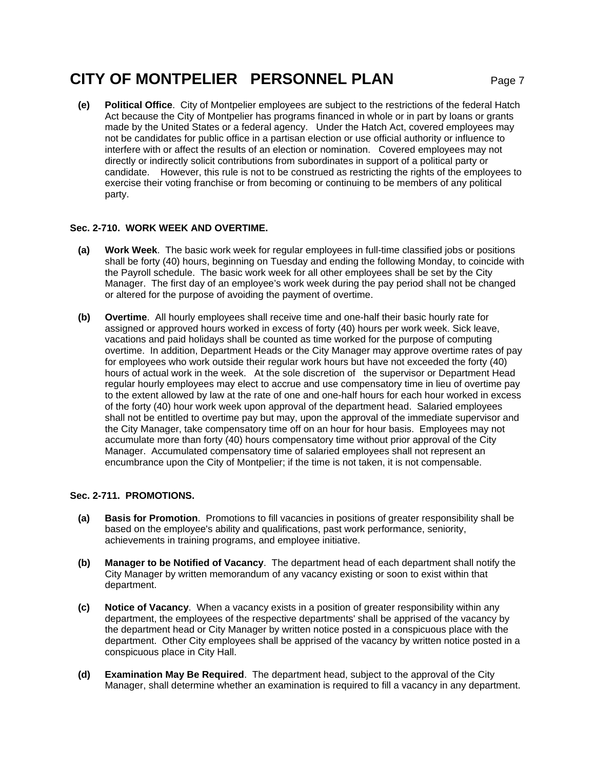**(e) Political Office**. City of Montpelier employees are subject to the restrictions of the federal Hatch Act because the City of Montpelier has programs financed in whole or in part by loans or grants made by the United States or a federal agency. Under the Hatch Act, covered employees may not be candidates for public office in a partisan election or use official authority or influence to interfere with or affect the results of an election or nomination. Covered employees may not directly or indirectly solicit contributions from subordinates in support of a political party or candidate. However, this rule is not to be construed as restricting the rights of the employees to exercise their voting franchise or from becoming or continuing to be members of any political party.

### **Sec. 2-710. WORK WEEK AND OVERTIME.**

- **(a) Work Week**. The basic work week for regular employees in full-time classified jobs or positions shall be forty (40) hours, beginning on Tuesday and ending the following Monday, to coincide with the Payroll schedule. The basic work week for all other employees shall be set by the City Manager. The first day of an employee's work week during the pay period shall not be changed or altered for the purpose of avoiding the payment of overtime.
- **(b) Overtime**. All hourly employees shall receive time and one-half their basic hourly rate for assigned or approved hours worked in excess of forty (40) hours per work week. Sick leave, vacations and paid holidays shall be counted as time worked for the purpose of computing overtime. In addition, Department Heads or the City Manager may approve overtime rates of pay for employees who work outside their regular work hours but have not exceeded the forty (40) hours of actual work in the week. At the sole discretion of the supervisor or Department Head regular hourly employees may elect to accrue and use compensatory time in lieu of overtime pay to the extent allowed by law at the rate of one and one-half hours for each hour worked in excess of the forty (40) hour work week upon approval of the department head. Salaried employees shall not be entitled to overtime pay but may, upon the approval of the immediate supervisor and the City Manager, take compensatory time off on an hour for hour basis. Employees may not accumulate more than forty (40) hours compensatory time without prior approval of the City Manager. Accumulated compensatory time of salaried employees shall not represent an encumbrance upon the City of Montpelier; if the time is not taken, it is not compensable.

## **Sec. 2-711. PROMOTIONS.**

- **(a) Basis for Promotion**. Promotions to fill vacancies in positions of greater responsibility shall be based on the employee's ability and qualifications, past work performance, seniority, achievements in training programs, and employee initiative.
- **(b) Manager to be Notified of Vacancy**. The department head of each department shall notify the City Manager by written memorandum of any vacancy existing or soon to exist within that department.
- **(c) Notice of Vacancy**. When a vacancy exists in a position of greater responsibility within any department, the employees of the respective departments' shall be apprised of the vacancy by the department head or City Manager by written notice posted in a conspicuous place with the department. Other City employees shall be apprised of the vacancy by written notice posted in a conspicuous place in City Hall.
- **(d) Examination May Be Required**. The department head, subject to the approval of the City Manager, shall determine whether an examination is required to fill a vacancy in any department.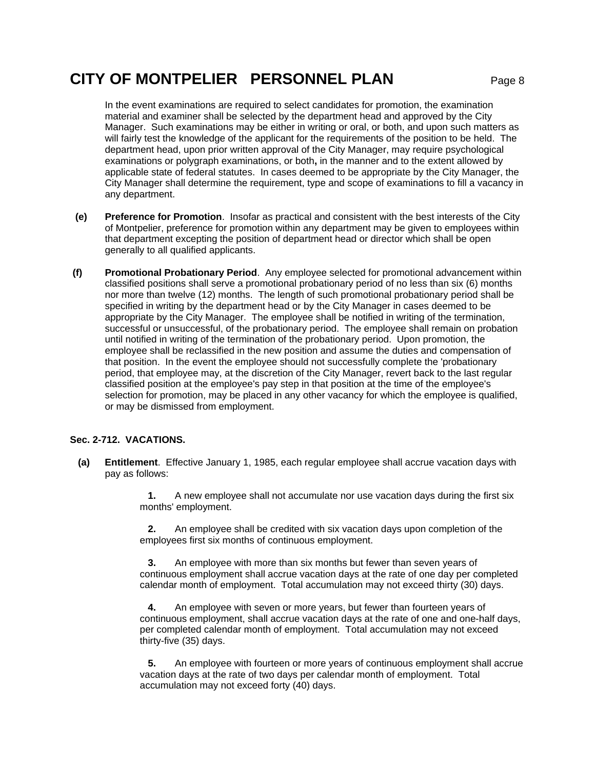In the event examinations are required to select candidates for promotion, the examination material and examiner shall be selected by the department head and approved by the City Manager. Such examinations may be either in writing or oral, or both, and upon such matters as will fairly test the knowledge of the applicant for the requirements of the position to be held. The department head, upon prior written approval of the City Manager, may require psychological examinations or polygraph examinations, or both**,** in the manner and to the extent allowed by applicable state of federal statutes. In cases deemed to be appropriate by the City Manager, the City Manager shall determine the requirement, type and scope of examinations to fill a vacancy in any department.

- **(e) Preference for Promotion**. Insofar as practical and consistent with the best interests of the City of Montpelier, preference for promotion within any department may be given to employees within that department excepting the position of department head or director which shall be open generally to all qualified applicants.
- **(f) Promotional Probationary Period**. Any employee selected for promotional advancement within classified positions shall serve a promotional probationary period of no less than six (6) months nor more than twelve (12) months. The length of such promotional probationary period shall be specified in writing by the department head or by the City Manager in cases deemed to be appropriate by the City Manager. The employee shall be notified in writing of the termination, successful or unsuccessful, of the probationary period. The employee shall remain on probation until notified in writing of the termination of the probationary period. Upon promotion, the employee shall be reclassified in the new position and assume the duties and compensation of that position. In the event the employee should not successfully complete the 'probationary period, that employee may, at the discretion of the City Manager, revert back to the last regular classified position at the employee's pay step in that position at the time of the employee's selection for promotion, may be placed in any other vacancy for which the employee is qualified, or may be dismissed from employment.

### **Sec. 2-712. VACATIONS.**

 **(a) Entitlement**. Effective January 1, 1985, each regular employee shall accrue vacation days with pay as follows:

> **1.** A new employee shall not accumulate nor use vacation days during the first six months' employment.

 **2.** An employee shall be credited with six vacation days upon completion of the employees first six months of continuous employment.

 **3.** An employee with more than six months but fewer than seven years of continuous employment shall accrue vacation days at the rate of one day per completed calendar month of employment. Total accumulation may not exceed thirty (30) days.

 **4.** An employee with seven or more years, but fewer than fourteen years of continuous employment, shall accrue vacation days at the rate of one and one-half days, per completed calendar month of employment. Total accumulation may not exceed thirty-five (35) days.

 **5.** An employee with fourteen or more years of continuous employment shall accrue vacation days at the rate of two days per calendar month of employment. Total accumulation may not exceed forty (40) days.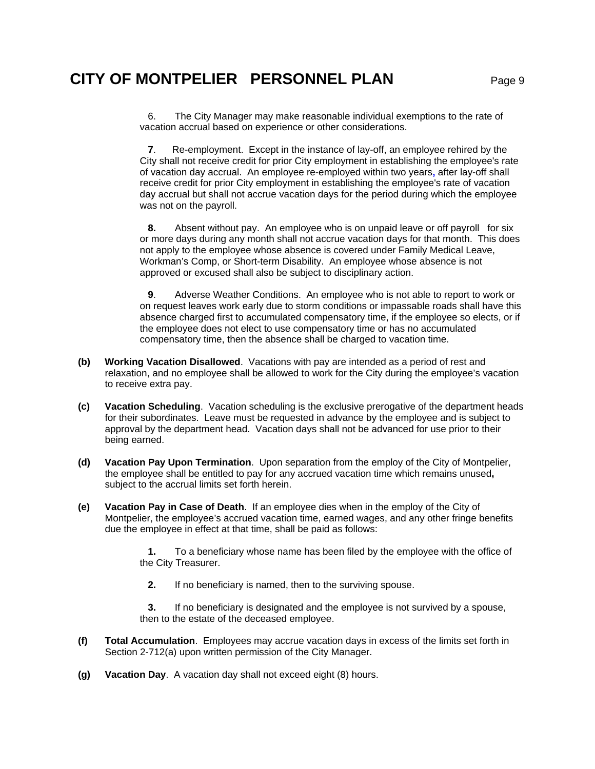**7**. Re-employment. Except in the instance of lay-off, an employee rehired by the City shall not receive credit for prior City employment in establishing the employee's rate of vacation day accrual. An employee re-employed within two years**,** after lay-off shall receive credit for prior City employment in establishing the employee's rate of vacation day accrual but shall not accrue vacation days for the period during which the employee was not on the payroll.

 **8.** Absent without pay. An employee who is on unpaid leave or off payroll for six or more days during any month shall not accrue vacation days for that month. This does not apply to the employee whose absence is covered under Family Medical Leave, Workman's Comp, or Short-term Disability. An employee whose absence is not approved or excused shall also be subject to disciplinary action.

 **9**. Adverse Weather Conditions. An employee who is not able to report to work or on request leaves work early due to storm conditions or impassable roads shall have this absence charged first to accumulated compensatory time, if the employee so elects, or if the employee does not elect to use compensatory time or has no accumulated compensatory time, then the absence shall be charged to vacation time.

- **(b) Working Vacation Disallowed**. Vacations with pay are intended as a period of rest and relaxation, and no employee shall be allowed to work for the City during the employee's vacation to receive extra pay.
- **(c) Vacation Scheduling**. Vacation scheduling is the exclusive prerogative of the department heads for their subordinates. Leave must be requested in advance by the employee and is subject to approval by the department head. Vacation days shall not be advanced for use prior to their being earned.
- **(d) Vacation Pay Upon Termination**. Upon separation from the employ of the City of Montpelier, the employee shall be entitled to pay for any accrued vacation time which remains unused**,**  subject to the accrual limits set forth herein.
- **(e) Vacation Pay in Case of Death**. If an employee dies when in the employ of the City of Montpelier, the employee's accrued vacation time, earned wages, and any other fringe benefits due the employee in effect at that time, shall be paid as follows:

 **1.** To a beneficiary whose name has been filed by the employee with the office of the City Treasurer.

**2.** If no beneficiary is named, then to the surviving spouse.

 **3.** If no beneficiary is designated and the employee is not survived by a spouse, then to the estate of the deceased employee.

- **(f) Total Accumulation**. Employees may accrue vacation days in excess of the limits set forth in Section 2-712(a) upon written permission of the City Manager.
- **(g) Vacation Day**. A vacation day shall not exceed eight (8) hours.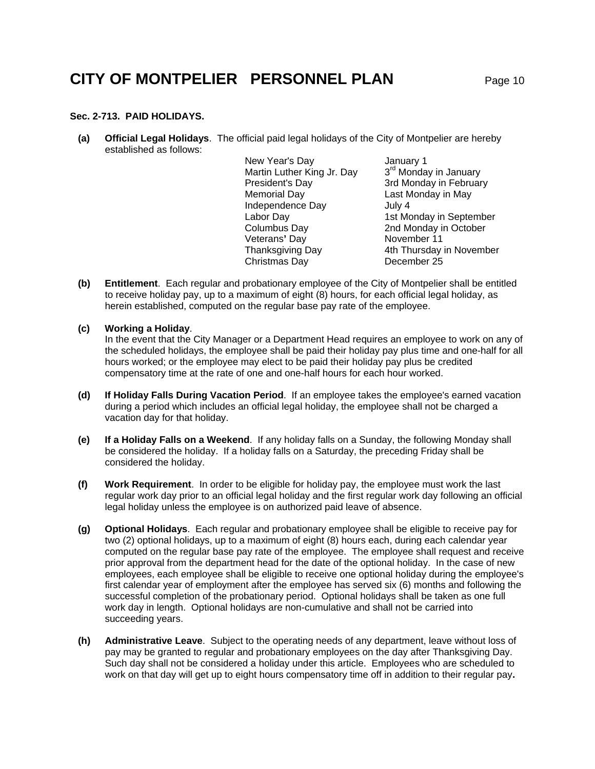#### **Sec. 2-713. PAID HOLIDAYS.**

 **(a) Official Legal Holidays**. The official paid legal holidays of the City of Montpelier are hereby established as follows:

> New Year's Day January 1<br>Martin Luther King Jr. Day 3<sup>rd</sup> Monday in January Martin Luther King Jr. Day President's Day 3rd Monday in February Memorial Day **Last Monday in May**  Independence Day July 4 Columbus Day 2nd Monday in October Veterans' Day **November 11** Christmas Day December 25

Labor Day 1st Monday in September Thanksgiving Day 4th Thursday in November

- **(b) Entitlement**. Each regular and probationary employee of the City of Montpelier shall be entitled to receive holiday pay, up to a maximum of eight (8) hours, for each official legal holiday, as herein established, computed on the regular base pay rate of the employee.
- **(c) Working a Holiday**.

In the event that the City Manager or a Department Head requires an employee to work on any of the scheduled holidays, the employee shall be paid their holiday pay plus time and one-half for all hours worked; or the employee may elect to be paid their holiday pay plus be credited compensatory time at the rate of one and one-half hours for each hour worked.

- **(d) If Holiday Falls During Vacation Period**. If an employee takes the employee's earned vacation during a period which includes an official legal holiday, the employee shall not be charged a vacation day for that holiday.
- **(e) If a Holiday Falls on a Weekend**. If any holiday falls on a Sunday, the following Monday shall be considered the holiday. If a holiday falls on a Saturday, the preceding Friday shall be considered the holiday.
- **(f) Work Requirement**. In order to be eligible for holiday pay, the employee must work the last regular work day prior to an official legal holiday and the first regular work day following an official legal holiday unless the employee is on authorized paid leave of absence.
- **(g) Optional Holidays**. Each regular and probationary employee shall be eligible to receive pay for two (2) optional holidays, up to a maximum of eight (8) hours each, during each calendar year computed on the regular base pay rate of the employee. The employee shall request and receive prior approval from the department head for the date of the optional holiday. In the case of new employees, each employee shall be eligible to receive one optional holiday during the employee's first calendar year of employment after the employee has served six (6) months and following the successful completion of the probationary period. Optional holidays shall be taken as one full work day in length. Optional holidays are non-cumulative and shall not be carried into succeeding years.
- **(h) Administrative Leave**. Subject to the operating needs of any department, leave without loss of pay may be granted to regular and probationary employees on the day after Thanksgiving Day. Such day shall not be considered a holiday under this article. Employees who are scheduled to work on that day will get up to eight hours compensatory time off in addition to their regular pay**.**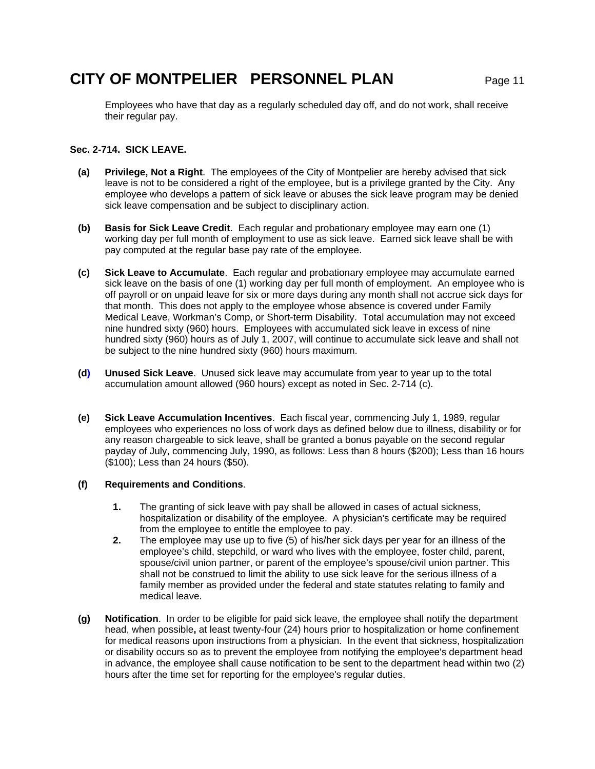Employees who have that day as a regularly scheduled day off, and do not work, shall receive their regular pay.

### **Sec. 2-714. SICK LEAVE.**

- **(a) Privilege, Not a Right**. The employees of the City of Montpelier are hereby advised that sick leave is not to be considered a right of the employee, but is a privilege granted by the City. Any employee who develops a pattern of sick leave or abuses the sick leave program may be denied sick leave compensation and be subject to disciplinary action.
- **(b) Basis for Sick Leave Credit**. Each regular and probationary employee may earn one (1) working day per full month of employment to use as sick leave. Earned sick leave shall be with pay computed at the regular base pay rate of the employee.
- **(c) Sick Leave to Accumulate**. Each regular and probationary employee may accumulate earned sick leave on the basis of one (1) working day per full month of employment. An employee who is off payroll or on unpaid leave for six or more days during any month shall not accrue sick days for that month. This does not apply to the employee whose absence is covered under Family Medical Leave, Workman's Comp, or Short-term Disability. Total accumulation may not exceed nine hundred sixty (960) hours. Employees with accumulated sick leave in excess of nine hundred sixty (960) hours as of July 1, 2007, will continue to accumulate sick leave and shall not be subject to the nine hundred sixty (960) hours maximum.
- **(d) Unused Sick Leave**. Unused sick leave may accumulate from year to year up to the total accumulation amount allowed (960 hours) except as noted in Sec. 2-714 (c).
- **(e) Sick Leave Accumulation Incentives**. Each fiscal year, commencing July 1, 1989, regular employees who experiences no loss of work days as defined below due to illness, disability or for any reason chargeable to sick leave, shall be granted a bonus payable on the second regular payday of July, commencing July, 1990, as follows: Less than 8 hours (\$200); Less than 16 hours (\$100); Less than 24 hours (\$50).

### **(f) Requirements and Conditions**.

- **1.** The granting of sick leave with pay shall be allowed in cases of actual sickness, hospitalization or disability of the employee. A physician's certificate may be required from the employee to entitle the employee to pay.
- **2.** The employee may use up to five (5) of his/her sick days per year for an illness of the employee's child, stepchild, or ward who lives with the employee, foster child, parent, spouse/civil union partner, or parent of the employee's spouse/civil union partner. This shall not be construed to limit the ability to use sick leave for the serious illness of a family member as provided under the federal and state statutes relating to family and medical leave.
- **(g) Notification**. In order to be eligible for paid sick leave, the employee shall notify the department head, when possible**,** at least twenty-four (24) hours prior to hospitalization or home confinement for medical reasons upon instructions from a physician. In the event that sickness, hospitalization or disability occurs so as to prevent the employee from notifying the employee's department head in advance, the employee shall cause notification to be sent to the department head within two (2) hours after the time set for reporting for the employee's regular duties.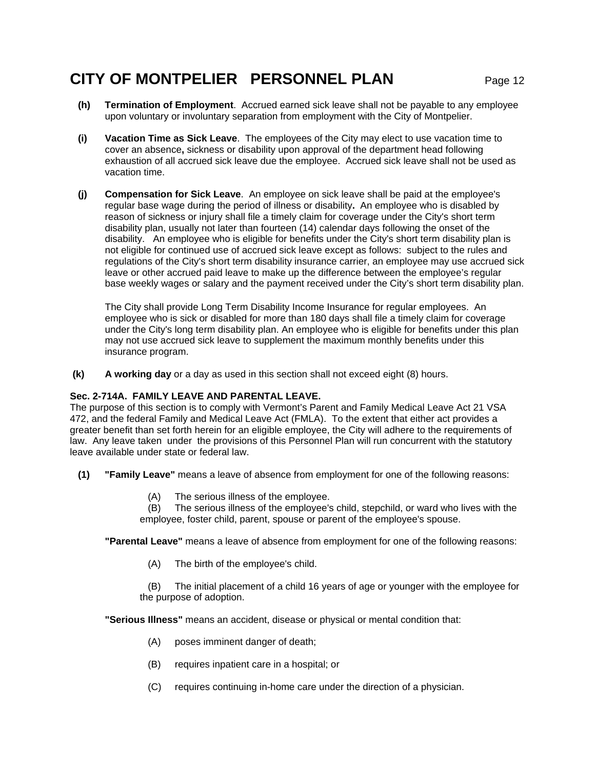- **(h) Termination of Employment**. Accrued earned sick leave shall not be payable to any employee upon voluntary or involuntary separation from employment with the City of Montpelier.
- **(i) Vacation Time as Sick Leave**. The employees of the City may elect to use vacation time to cover an absence**,** sickness or disability upon approval of the department head following exhaustion of all accrued sick leave due the employee. Accrued sick leave shall not be used as vacation time.
- **(j) Compensation for Sick Leave**. An employee on sick leave shall be paid at the employee's regular base wage during the period of illness or disability**.** An employee who is disabled by reason of sickness or injury shall file a timely claim for coverage under the City's short term disability plan, usually not later than fourteen (14) calendar days following the onset of the disability. An employee who is eligible for benefits under the City's short term disability plan is not eligible for continued use of accrued sick leave except as follows: subject to the rules and regulations of the City's short term disability insurance carrier, an employee may use accrued sick leave or other accrued paid leave to make up the difference between the employee's regular base weekly wages or salary and the payment received under the City's short term disability plan.

The City shall provide Long Term Disability Income Insurance for regular employees. An employee who is sick or disabled for more than 180 days shall file a timely claim for coverage under the City's long term disability plan. An employee who is eligible for benefits under this plan may not use accrued sick leave to supplement the maximum monthly benefits under this insurance program.

 **(k) A working day** or a day as used in this section shall not exceed eight (8) hours.

## **Sec. 2-714A. FAMILY LEAVE AND PARENTAL LEAVE.**

The purpose of this section is to comply with Vermont's Parent and Family Medical Leave Act 21 VSA 472, and the federal Family and Medical Leave Act (FMLA). To the extent that either act provides a greater benefit than set forth herein for an eligible employee, the City will adhere to the requirements of law. Any leave taken under the provisions of this Personnel Plan will run concurrent with the statutory leave available under state or federal law.

- **(1) "Family Leave"** means a leave of absence from employment for one of the following reasons:
	- (A) The serious illness of the employee.
	- (B) The serious illness of the employee's child, stepchild, or ward who lives with the employee, foster child, parent, spouse or parent of the employee's spouse.

**"Parental Leave"** means a leave of absence from employment for one of the following reasons:

(A) The birth of the employee's child.

 (B) The initial placement of a child 16 years of age or younger with the employee for the purpose of adoption.

**"Serious Illness"** means an accident, disease or physical or mental condition that:

- (A) poses imminent danger of death;
- (B) requires inpatient care in a hospital; or
- (C) requires continuing in-home care under the direction of a physician.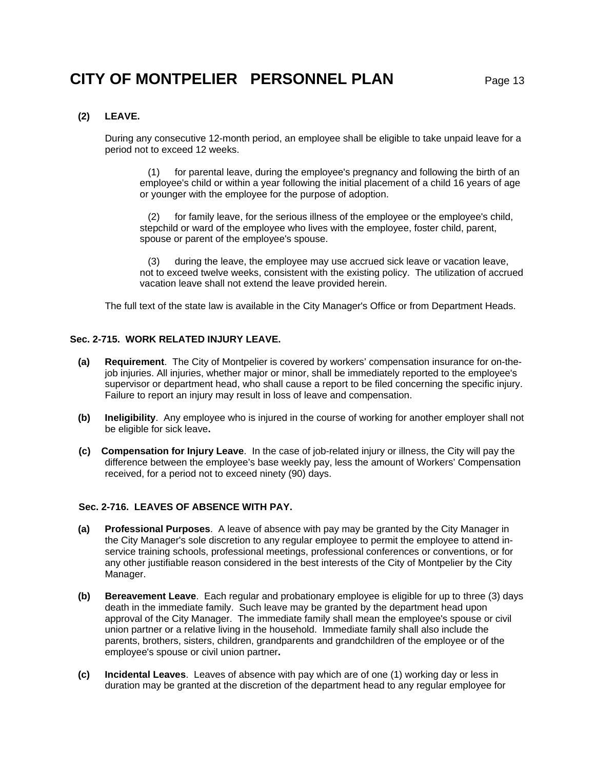## **(2) LEAVE.**

During any consecutive 12-month period, an employee shall be eligible to take unpaid leave for a period not to exceed 12 weeks.

 (1) for parental leave, during the employee's pregnancy and following the birth of an employee's child or within a year following the initial placement of a child 16 years of age or younger with the employee for the purpose of adoption.

 (2) for family leave, for the serious illness of the employee or the employee's child, stepchild or ward of the employee who lives with the employee, foster child, parent, spouse or parent of the employee's spouse.

 (3) during the leave, the employee may use accrued sick leave or vacation leave, not to exceed twelve weeks, consistent with the existing policy. The utilization of accrued vacation leave shall not extend the leave provided herein.

The full text of the state law is available in the City Manager's Office or from Department Heads.

### **Sec. 2-715. WORK RELATED INJURY LEAVE.**

- **(a) Requirement**. The City of Montpelier is covered by workers' compensation insurance for on-thejob injuries. All injuries, whether major or minor, shall be immediately reported to the employee's supervisor or department head, who shall cause a report to be filed concerning the specific injury. Failure to report an injury may result in loss of leave and compensation.
- **(b) Ineligibility**. Any employee who is injured in the course of working for another employer shall not be eligible for sick leave**.**
- **(c) Compensation for Injury Leave**. In the case of job-related injury or illness, the City will pay the difference between the employee's base weekly pay, less the amount of Workers' Compensation received, for a period not to exceed ninety (90) days.

#### **Sec. 2-716. LEAVES OF ABSENCE WITH PAY.**

- **(a) Professional Purposes**. A leave of absence with pay may be granted by the City Manager in the City Manager's sole discretion to any regular employee to permit the employee to attend inservice training schools, professional meetings, professional conferences or conventions, or for any other justifiable reason considered in the best interests of the City of Montpelier by the City Manager.
- **(b) Bereavement Leave**. Each regular and probationary employee is eligible for up to three (3) days death in the immediate family. Such leave may be granted by the department head upon approval of the City Manager. The immediate family shall mean the employee's spouse or civil union partner or a relative living in the household. Immediate family shall also include the parents, brothers, sisters, children, grandparents and grandchildren of the employee or of the employee's spouse or civil union partner**.**
- **(c) Incidental Leaves**. Leaves of absence with pay which are of one (1) working day or less in duration may be granted at the discretion of the department head to any regular employee for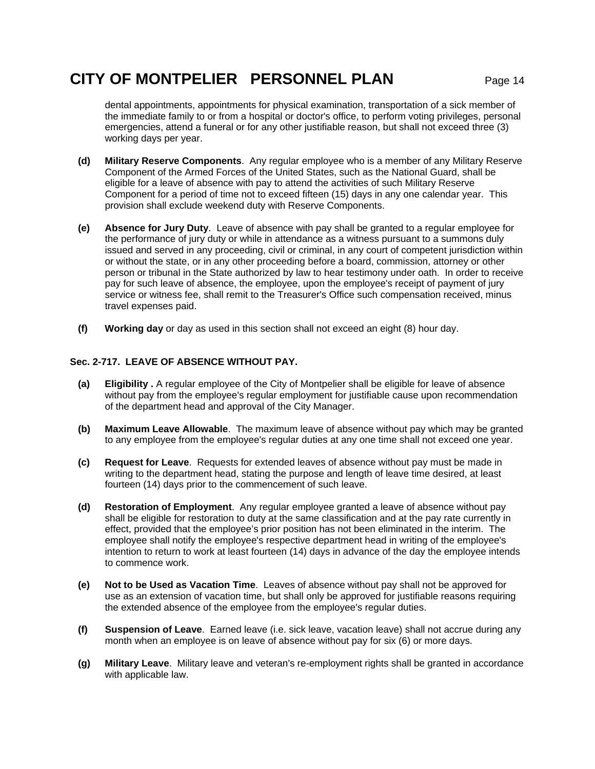dental appointments, appointments for physical examination, transportation of a sick member of the immediate family to or from a hospital or doctor's office, to perform voting privileges, personal emergencies, attend a funeral or for any other justifiable reason, but shall not exceed three (3) working days per year.

- **(d) Military Reserve Components**. Any regular employee who is a member of any Military Reserve Component of the Armed Forces of the United States, such as the National Guard, shall be eligible for a leave of absence with pay to attend the activities of such Military Reserve Component for a period of time not to exceed fifteen (15) days in any one calendar year. This provision shall exclude weekend duty with Reserve Components.
- **(e) Absence for Jury Duty**. Leave of absence with pay shall be granted to a regular employee for the performance of jury duty or while in attendance as a witness pursuant to a summons duly issued and served in any proceeding, civil or criminal, in any court of competent jurisdiction within or without the state, or in any other proceeding before a board, commission, attorney or other person or tribunal in the State authorized by law to hear testimony under oath. In order to receive pay for such leave of absence, the employee, upon the employee's receipt of payment of jury service or witness fee, shall remit to the Treasurer's Office such compensation received, minus travel expenses paid.
- **(f) Working day** or day as used in this section shall not exceed an eight (8) hour day.

### **Sec. 2-717. LEAVE OF ABSENCE WITHOUT PAY.**

- **(a) Eligibility .** A regular employee of the City of Montpelier shall be eligible for leave of absence without pay from the employee's regular employment for justifiable cause upon recommendation of the department head and approval of the City Manager.
- **(b) Maximum Leave Allowable**. The maximum leave of absence without pay which may be granted to any employee from the employee's regular duties at any one time shall not exceed one year.
- **(c) Request for Leave**. Requests for extended leaves of absence without pay must be made in writing to the department head, stating the purpose and length of leave time desired, at least fourteen (14) days prior to the commencement of such leave.
- **(d) Restoration of Employment**. Any regular employee granted a leave of absence without pay shall be eligible for restoration to duty at the same classification and at the pay rate currently in effect, provided that the employee's prior position has not been eliminated in the interim. The employee shall notify the employee's respective department head in writing of the employee's intention to return to work at least fourteen (14) days in advance of the day the employee intends to commence work.
- **(e) Not to be Used as Vacation Time**. Leaves of absence without pay shall not be approved for use as an extension of vacation time, but shall only be approved for justifiable reasons requiring the extended absence of the employee from the employee's regular duties.
- **(f) Suspension of Leave**. Earned leave (i.e. sick leave, vacation leave) shall not accrue during any month when an employee is on leave of absence without pay for six (6) or more days.
- **(g) Military Leave**. Military leave and veteran's re-employment rights shall be granted in accordance with applicable law.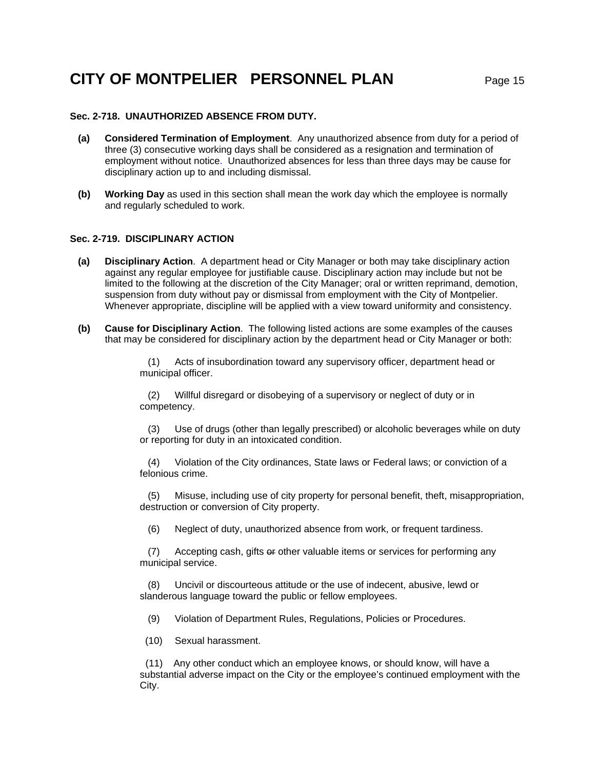#### **Sec. 2-718. UNAUTHORIZED ABSENCE FROM DUTY.**

- **(a) Considered Termination of Employment**. Any unauthorized absence from duty for a period of three (3) consecutive working days shall be considered as a resignation and termination of employment without notice. Unauthorized absences for less than three days may be cause for disciplinary action up to and including dismissal.
- **(b) Working Day** as used in this section shall mean the work day which the employee is normally and regularly scheduled to work.

#### **Sec. 2-719. DISCIPLINARY ACTION**

- **(a) Disciplinary Action**. A department head or City Manager or both may take disciplinary action against any regular employee for justifiable cause. Disciplinary action may include but not be limited to the following at the discretion of the City Manager; oral or written reprimand, demotion, suspension from duty without pay or dismissal from employment with the City of Montpelier. Whenever appropriate, discipline will be applied with a view toward uniformity and consistency.
- **(b) Cause for Disciplinary Action**. The following listed actions are some examples of the causes that may be considered for disciplinary action by the department head or City Manager or both:

 (1) Acts of insubordination toward any supervisory officer, department head or municipal officer.

 (2) Willful disregard or disobeying of a supervisory or neglect of duty or in competency.

 (3) Use of drugs (other than legally prescribed) or alcoholic beverages while on duty or reporting for duty in an intoxicated condition.

 (4) Violation of the City ordinances, State laws or Federal laws; or conviction of a felonious crime.

 (5) Misuse, including use of city property for personal benefit, theft, misappropriation, destruction or conversion of City property.

(6) Neglect of duty, unauthorized absence from work, or frequent tardiness.

 (7) Accepting cash, gifts or other valuable items or services for performing any municipal service.

 (8) Uncivil or discourteous attitude or the use of indecent, abusive, lewd or slanderous language toward the public or fellow employees.

(9) Violation of Department Rules, Regulations, Policies or Procedures.

(10) Sexual harassment.

 (11) Any other conduct which an employee knows, or should know, will have a substantial adverse impact on the City or the employee's continued employment with the City.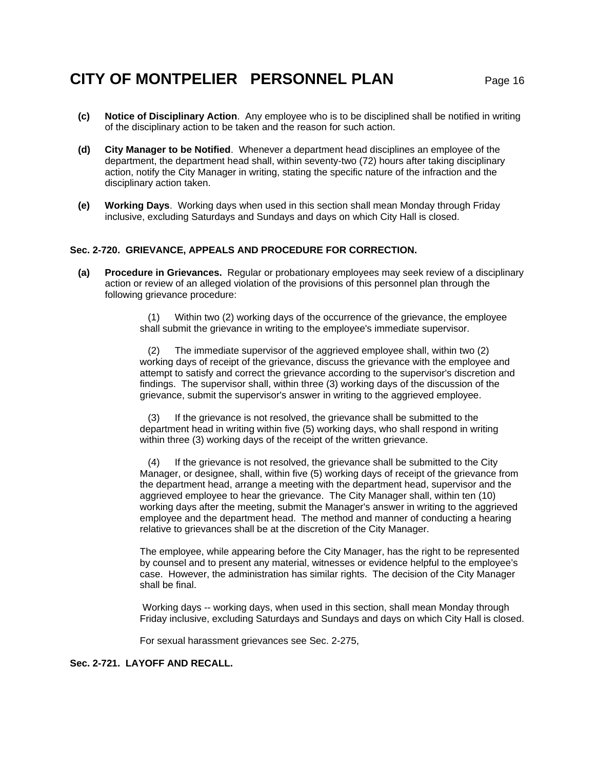- **(c) Notice of Disciplinary Action**. Any employee who is to be disciplined shall be notified in writing of the disciplinary action to be taken and the reason for such action.
- **(d) City Manager to be Notified**. Whenever a department head disciplines an employee of the department, the department head shall, within seventy-two (72) hours after taking disciplinary action, notify the City Manager in writing, stating the specific nature of the infraction and the disciplinary action taken.
- **(e) Working Days**. Working days when used in this section shall mean Monday through Friday inclusive, excluding Saturdays and Sundays and days on which City Hall is closed.

### **Sec. 2-720. GRIEVANCE, APPEALS AND PROCEDURE FOR CORRECTION.**

 **(a) Procedure in Grievances.** Regular or probationary employees may seek review of a disciplinary action or review of an alleged violation of the provisions of this personnel plan through the following grievance procedure:

> (1) Within two (2) working days of the occurrence of the grievance, the employee shall submit the grievance in writing to the employee's immediate supervisor.

 (2) The immediate supervisor of the aggrieved employee shall, within two (2) working days of receipt of the grievance, discuss the grievance with the employee and attempt to satisfy and correct the grievance according to the supervisor's discretion and findings. The supervisor shall, within three (3) working days of the discussion of the grievance, submit the supervisor's answer in writing to the aggrieved employee.

 (3) If the grievance is not resolved, the grievance shall be submitted to the department head in writing within five (5) working days, who shall respond in writing within three (3) working days of the receipt of the written grievance.

 (4) If the grievance is not resolved, the grievance shall be submitted to the City Manager, or designee, shall, within five (5) working days of receipt of the grievance from the department head, arrange a meeting with the department head, supervisor and the aggrieved employee to hear the grievance. The City Manager shall, within ten (10) working days after the meeting, submit the Manager's answer in writing to the aggrieved employee and the department head. The method and manner of conducting a hearing relative to grievances shall be at the discretion of the City Manager.

 The employee, while appearing before the City Manager, has the right to be represented by counsel and to present any material, witnesses or evidence helpful to the employee's case. However, the administration has similar rights. The decision of the City Manager shall be final.

 Working days -- working days, when used in this section, shall mean Monday through Friday inclusive, excluding Saturdays and Sundays and days on which City Hall is closed.

For sexual harassment grievances see Sec. 2-275,

## **Sec. 2-721. LAYOFF AND RECALL.**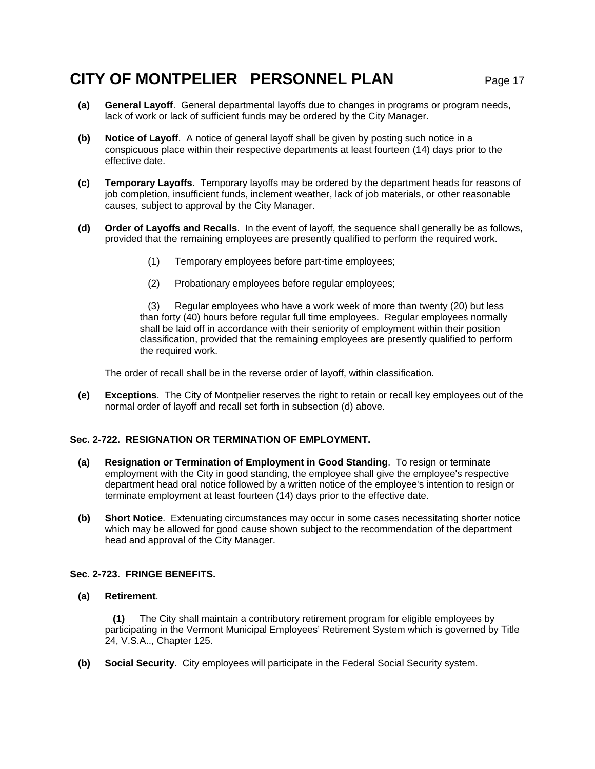- 
- **(a) General Layoff**. General departmental layoffs due to changes in programs or program needs, lack of work or lack of sufficient funds may be ordered by the City Manager.
- **(b) Notice of Layoff**. A notice of general layoff shall be given by posting such notice in a conspicuous place within their respective departments at least fourteen (14) days prior to the effective date.
- **(c) Temporary Layoffs**. Temporary layoffs may be ordered by the department heads for reasons of job completion, insufficient funds, inclement weather, lack of job materials, or other reasonable causes, subject to approval by the City Manager.
- **(d) Order of Layoffs and Recalls**. In the event of layoff, the sequence shall generally be as follows, provided that the remaining employees are presently qualified to perform the required work.
	- (1) Temporary employees before part-time employees;
	- (2) Probationary employees before regular employees;

 (3) Regular employees who have a work week of more than twenty (20) but less than forty (40) hours before regular full time employees. Regular employees normally shall be laid off in accordance with their seniority of employment within their position classification, provided that the remaining employees are presently qualified to perform the required work.

The order of recall shall be in the reverse order of layoff, within classification.

 **(e) Exceptions**. The City of Montpelier reserves the right to retain or recall key employees out of the normal order of layoff and recall set forth in subsection (d) above.

### **Sec. 2-722. RESIGNATION OR TERMINATION OF EMPLOYMENT.**

- **(a) Resignation or Termination of Employment in Good Standing**. To resign or terminate employment with the City in good standing, the employee shall give the employee's respective department head oral notice followed by a written notice of the employee's intention to resign or terminate employment at least fourteen (14) days prior to the effective date.
- **(b) Short Notice**. Extenuating circumstances may occur in some cases necessitating shorter notice which may be allowed for good cause shown subject to the recommendation of the department head and approval of the City Manager.

#### **Sec. 2-723. FRINGE BENEFITS.**

**(a) Retirement**.

 **(1)** The City shall maintain a contributory retirement program for eligible employees by participating in the Vermont Municipal Employees' Retirement System which is governed by Title 24, V.S.A.., Chapter 125.

**(b) Social Security**. City employees will participate in the Federal Social Security system.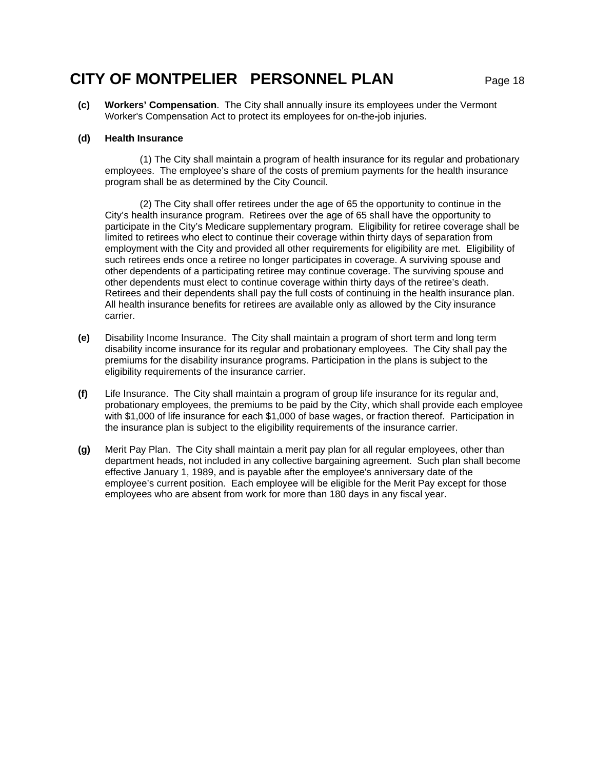**(c) Workers' Compensation**. The City shall annually insure its employees under the Vermont Worker's Compensation Act to protect its employees for on-the**-**job injuries.

#### **(d) Health Insurance**

(1) The City shall maintain a program of health insurance for its regular and probationary employees. The employee's share of the costs of premium payments for the health insurance program shall be as determined by the City Council.

 (2) The City shall offer retirees under the age of 65 the opportunity to continue in the City's health insurance program. Retirees over the age of 65 shall have the opportunity to participate in the City's Medicare supplementary program. Eligibility for retiree coverage shall be limited to retirees who elect to continue their coverage within thirty days of separation from employment with the City and provided all other requirements for eligibility are met. Eligibility of such retirees ends once a retiree no longer participates in coverage. A surviving spouse and other dependents of a participating retiree may continue coverage. The surviving spouse and other dependents must elect to continue coverage within thirty days of the retiree's death. Retirees and their dependents shall pay the full costs of continuing in the health insurance plan. All health insurance benefits for retirees are available only as allowed by the City insurance carrier.

- **(e)** Disability Income Insurance. The City shall maintain a program of short term and long term disability income insurance for its regular and probationary employees. The City shall pay the premiums for the disability insurance programs. Participation in the plans is subject to the eligibility requirements of the insurance carrier.
- **(f)** Life Insurance. The City shall maintain a program of group life insurance for its regular and, probationary employees, the premiums to be paid by the City, which shall provide each employee with \$1,000 of life insurance for each \$1,000 of base wages, or fraction thereof. Participation in the insurance plan is subject to the eligibility requirements of the insurance carrier.
- **(g)** Merit Pay Plan. The City shall maintain a merit pay plan for all regular employees, other than department heads, not included in any collective bargaining agreement. Such plan shall become effective January 1, 1989, and is payable after the employee's anniversary date of the employee's current position. Each employee will be eligible for the Merit Pay except for those employees who are absent from work for more than 180 days in any fiscal year.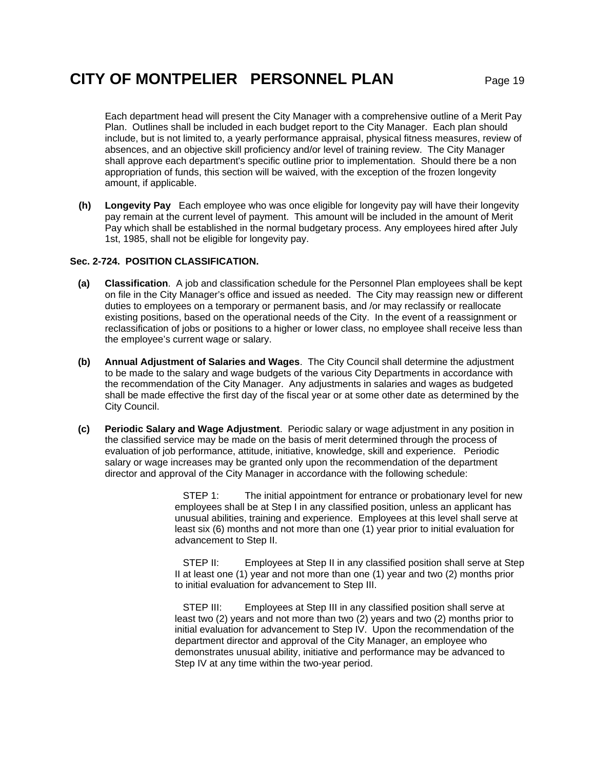Each department head will present the City Manager with a comprehensive outline of a Merit Pay Plan. Outlines shall be included in each budget report to the City Manager. Each plan should include, but is not limited to, a yearly performance appraisal, physical fitness measures, review of absences, and an objective skill proficiency and/or level of training review. The City Manager shall approve each department's specific outline prior to implementation. Should there be a non appropriation of funds, this section will be waived, with the exception of the frozen longevity amount, if applicable.

**(h) Longevity Pay** Each employee who was once eligible for longevity pay will have their longevity pay remain at the current level of payment. This amount will be included in the amount of Merit Pay which shall be established in the normal budgetary process. Any employees hired after July 1st, 1985, shall not be eligible for longevity pay.

### **Sec. 2-724. POSITION CLASSIFICATION.**

- **(a) Classification**. A job and classification schedule for the Personnel Plan employees shall be kept on file in the City Manager's office and issued as needed. The City may reassign new or different duties to employees on a temporary or permanent basis, and /or may reclassify or reallocate existing positions, based on the operational needs of the City. In the event of a reassignment or reclassification of jobs or positions to a higher or lower class, no employee shall receive less than the employee's current wage or salary.
- **(b) Annual Adjustment of Salaries and Wages**. The City Council shall determine the adjustment to be made to the salary and wage budgets of the various City Departments in accordance with the recommendation of the City Manager. Any adjustments in salaries and wages as budgeted shall be made effective the first day of the fiscal year or at some other date as determined by the City Council.
- **(c) Periodic Salary and Wage Adjustment**. Periodic salary or wage adjustment in any position in the classified service may be made on the basis of merit determined through the process of evaluation of job performance, attitude, initiative, knowledge, skill and experience. Periodic salary or wage increases may be granted only upon the recommendation of the department director and approval of the City Manager in accordance with the following schedule:

STEP 1: The initial appointment for entrance or probationary level for new employees shall be at Step I in any classified position, unless an applicant has unusual abilities, training and experience. Employees at this level shall serve at least six (6) months and not more than one (1) year prior to initial evaluation for advancement to Step II.

 STEP II: Employees at Step II in any classified position shall serve at Step II at least one (1) year and not more than one (1) year and two (2) months prior to initial evaluation for advancement to Step III.

STEP III: Employees at Step III in any classified position shall serve at least two (2) years and not more than two (2) years and two (2) months prior to initial evaluation for advancement to Step IV. Upon the recommendation of the department director and approval of the City Manager, an employee who demonstrates unusual ability, initiative and performance may be advanced to Step IV at any time within the two-year period.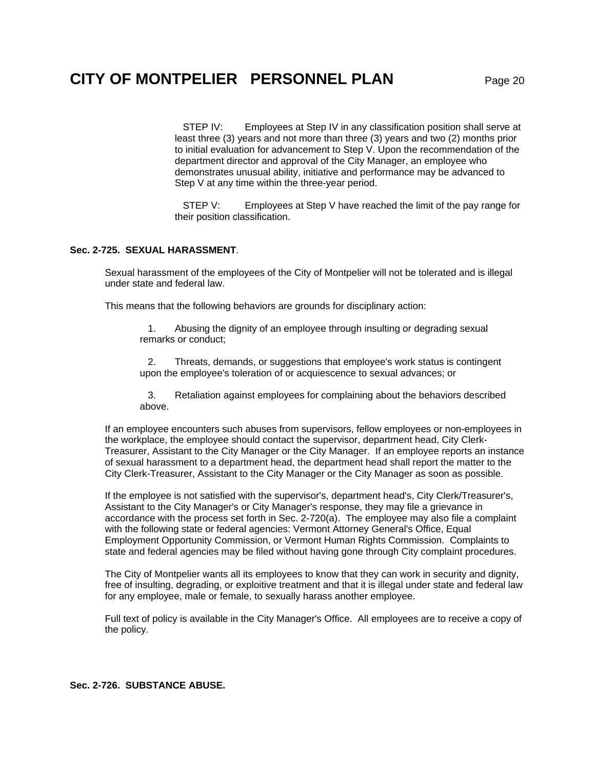STEP IV: Employees at Step IV in any classification position shall serve at least three (3) years and not more than three (3) years and two (2) months prior

to initial evaluation for advancement to Step V. Upon the recommendation of the department director and approval of the City Manager, an employee who demonstrates unusual ability, initiative and performance may be advanced to Step V at any time within the three-year period.

STEP V: Employees at Step V have reached the limit of the pay range for their position classification.

### **Sec. 2-725. SEXUAL HARASSMENT**.

Sexual harassment of the employees of the City of Montpelier will not be tolerated and is illegal under state and federal law.

This means that the following behaviors are grounds for disciplinary action:

 1. Abusing the dignity of an employee through insulting or degrading sexual remarks or conduct;

 2. Threats, demands, or suggestions that employee's work status is contingent upon the employee's toleration of or acquiescence to sexual advances; or

 3. Retaliation against employees for complaining about the behaviors described above.

If an employee encounters such abuses from supervisors, fellow employees or non-employees in the workplace, the employee should contact the supervisor, department head, City Clerk-Treasurer, Assistant to the City Manager or the City Manager. If an employee reports an instance of sexual harassment to a department head, the department head shall report the matter to the City Clerk-Treasurer, Assistant to the City Manager or the City Manager as soon as possible.

If the employee is not satisfied with the supervisor's, department head's, City Clerk/Treasurer's, Assistant to the City Manager's or City Manager's response, they may file a grievance in accordance with the process set forth in Sec. 2-720(a).The employee may also file a complaint with the following state or federal agencies: Vermont Attorney General's Office, Equal Employment Opportunity Commission, or Vermont Human Rights Commission. Complaints to state and federal agencies may be filed without having gone through City complaint procedures.

The City of Montpelier wants all its employees to know that they can work in security and dignity, free of insulting, degrading, or exploitive treatment and that it is illegal under state and federal law for any employee, male or female, to sexually harass another employee.

Full text of policy is available in the City Manager's Office. All employees are to receive a copy of the policy.

**Sec. 2-726. SUBSTANCE ABUSE.**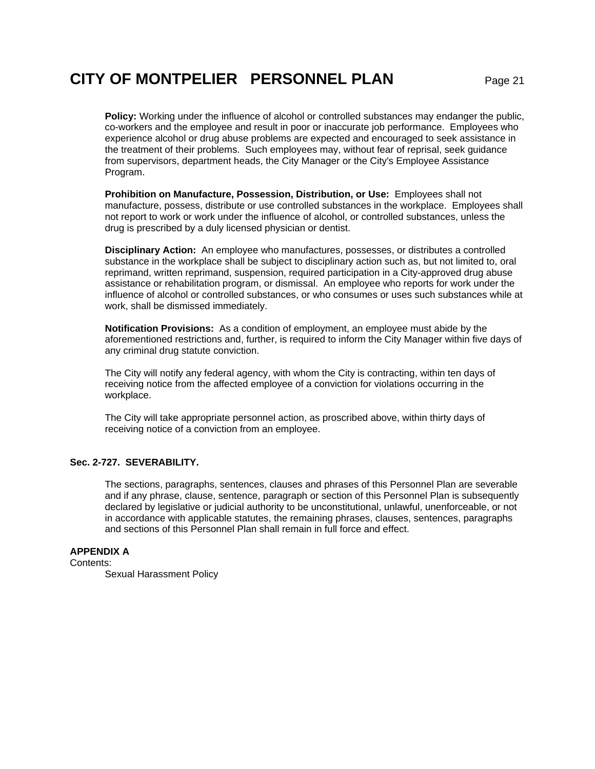**Policy:** Working under the influence of alcohol or controlled substances may endanger the public, co-workers and the employee and result in poor or inaccurate job performance. Employees who experience alcohol or drug abuse problems are expected and encouraged to seek assistance in the treatment of their problems. Such employees may, without fear of reprisal, seek guidance from supervisors, department heads, the City Manager or the City's Employee Assistance Program.

**Prohibition on Manufacture, Possession, Distribution, or Use:** Employees shall not manufacture, possess, distribute or use controlled substances in the workplace. Employees shall not report to work or work under the influence of alcohol, or controlled substances, unless the drug is prescribed by a duly licensed physician or dentist.

**Disciplinary Action:** An employee who manufactures, possesses, or distributes a controlled substance in the workplace shall be subject to disciplinary action such as, but not limited to, oral reprimand, written reprimand, suspension, required participation in a City-approved drug abuse assistance or rehabilitation program, or dismissal. An employee who reports for work under the influence of alcohol or controlled substances, or who consumes or uses such substances while at work, shall be dismissed immediately.

**Notification Provisions:** As a condition of employment, an employee must abide by the aforementioned restrictions and, further, is required to inform the City Manager within five days of any criminal drug statute conviction.

The City will notify any federal agency, with whom the City is contracting, within ten days of receiving notice from the affected employee of a conviction for violations occurring in the workplace.

The City will take appropriate personnel action, as proscribed above, within thirty days of receiving notice of a conviction from an employee.

### **Sec. 2-727. SEVERABILITY.**

The sections, paragraphs, sentences, clauses and phrases of this Personnel Plan are severable and if any phrase, clause, sentence, paragraph or section of this Personnel Plan is subsequently declared by legislative or judicial authority to be unconstitutional, unlawful, unenforceable, or not in accordance with applicable statutes, the remaining phrases, clauses, sentences, paragraphs and sections of this Personnel Plan shall remain in full force and effect.

### **APPENDIX A**

Contents:

Sexual Harassment Policy